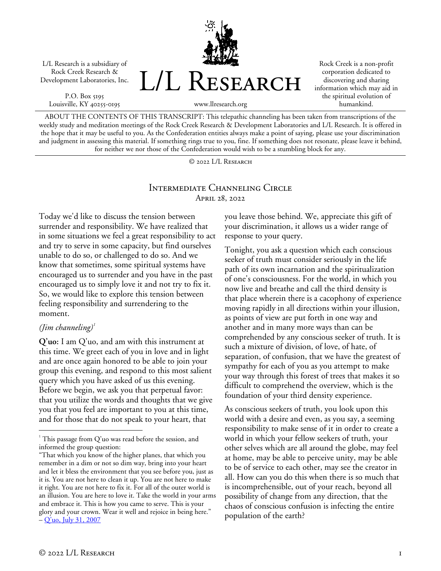L/L Research is a subsidiary of Rock Creek Research & Development Laboratories, Inc.

P.O. Box 5195 Louisville, KY 40255-0195



Rock Creek is a non-profit corporation dedicated to discovering and sharing information which may aid in the spiritual evolution of humankind.

ABOUT THE CONTENTS OF THIS TRANSCRIPT: This telepathic channeling has been taken from transcriptions of the weekly study and meditation meetings of the Rock Creek Research & Development Laboratories and L/L Research. It is offered in the hope that it may be useful to you. As the Confederation entities always make a point of saying, please use your discrimination and judgment in assessing this material. If something rings true to you, fine. If something does not resonate, please leave it behind, for neither we nor those of the Confederation would wish to be a stumbling block for any.

© 2022 L/L Research

#### Intermediate Channeling Circle April 28, 2022

Today we'd like to discuss the tension between surrender and responsibility. We have realized that in some situations we feel a great responsibility to act and try to serve in some capacity, but find ourselves unable to do so, or challenged to do so. And we know that sometimes, some spiritual systems have encouraged us to surrender and you have in the past encouraged us to simply love it and not try to fix it. So, we would like to explore this tension between feeling responsibility and surrendering to the moment.

#### *(Jim channeling[\)1](#page-0-0)*

 $\overline{a}$ 

**Q'uo:** I am Q'uo, and am with this instrument at this time. We greet each of you in love and in light and are once again honored to be able to join your group this evening, and respond to this most salient query which you have asked of us this evening. Before we begin, we ask you that perpetual favor: that you utilize the words and thoughts that we give you that you feel are important to you at this time, and for those that do not speak to your heart, that

you leave those behind. We, appreciate this gift of your discrimination, it allows us a wider range of response to your query.

Tonight, you ask a question which each conscious seeker of truth must consider seriously in the life path of its own incarnation and the spiritualization of one's consciousness. For the world, in which you now live and breathe and call the third density is that place wherein there is a cacophony of experience moving rapidly in all directions within your illusion, as points of view are put forth in one way and another and in many more ways than can be comprehended by any conscious seeker of truth. It is such a mixture of division, of love, of hate, of separation, of confusion, that we have the greatest of sympathy for each of you as you attempt to make your way through this forest of trees that makes it so difficult to comprehend the overview, which is the foundation of your third density experience.

As conscious seekers of truth, you look upon this world with a desire and even, as you say, a seeming responsibility to make sense of it in order to create a world in which your fellow seekers of truth, your other selves which are all around the globe, may feel at home, may be able to perceive unity, may be able to be of service to each other, may see the creator in all. How can you do this when there is so much that is incomprehensible, out of your reach, beyond all possibility of change from any direction, that the chaos of conscious confusion is infecting the entire population of the earth?

<span id="page-0-0"></span><sup>&</sup>lt;sup>1</sup> This passage from Q'uo was read before the session, and informed the group question:

<sup>&</sup>quot;That which you know of the higher planes, that which you remember in a dim or not so dim way, bring into your heart and let it bless the environment that you see before you, just as it is. You are not here to clean it up. You are not here to make it right. You are not here to fix it. For all of the outer world is an illusion. You are here to love it. Take the world in your arms and embrace it. This is how you came to serve. This is your glory and your crown. Wear it well and rejoice in being here."  $-Q'$ uo, July 31, 2007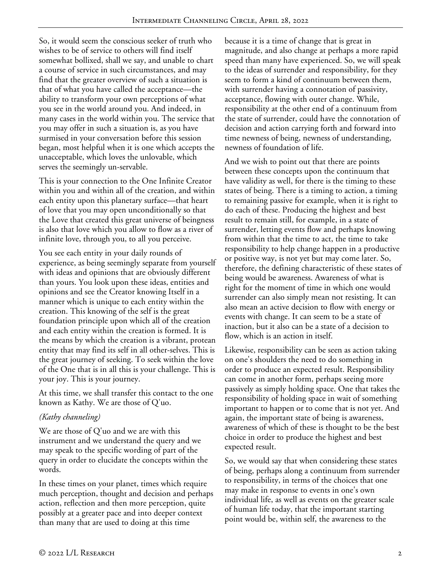So, it would seem the conscious seeker of truth who wishes to be of service to others will find itself somewhat bollixed, shall we say, and unable to chart a course of service in such circumstances, and may find that the greater overview of such a situation is that of what you have called the acceptance—the ability to transform your own perceptions of what you see in the world around you. And indeed, in many cases in the world within you. The service that you may offer in such a situation is, as you have surmised in your conversation before this session began, most helpful when it is one which accepts the unacceptable, which loves the unlovable, which serves the seemingly un-servable.

This is your connection to the One Infinite Creator within you and within all of the creation, and within each entity upon this planetary surface—that heart of love that you may open unconditionally so that the Love that created this great universe of beingness is also that love which you allow to flow as a river of infinite love, through you, to all you perceive.

You see each entity in your daily rounds of experience, as being seemingly separate from yourself with ideas and opinions that are obviously different than yours. You look upon these ideas, entities and opinions and see the Creator knowing Itself in a manner which is unique to each entity within the creation. This knowing of the self is the great foundation principle upon which all of the creation and each entity within the creation is formed. It is the means by which the creation is a vibrant, protean entity that may find its self in all other-selves. This is the great journey of seeking. To seek within the love of the One that is in all this is your challenge. This is your joy. This is your journey.

At this time, we shall transfer this contact to the one known as Kathy. We are those of Q'uo.

## *(Kathy channeling)*

We are those of Q'uo and we are with this instrument and we understand the query and we may speak to the specific wording of part of the query in order to elucidate the concepts within the words.

In these times on your planet, times which require much perception, thought and decision and perhaps action, reflection and then more perception, quite possibly at a greater pace and into deeper context than many that are used to doing at this time

because it is a time of change that is great in magnitude, and also change at perhaps a more rapid speed than many have experienced. So, we will speak to the ideas of surrender and responsibility, for they seem to form a kind of continuum between them, with surrender having a connotation of passivity, acceptance, flowing with outer change. While, responsibility at the other end of a continuum from the state of surrender, could have the connotation of decision and action carrying forth and forward into time newness of being, newness of understanding, newness of foundation of life.

And we wish to point out that there are points between these concepts upon the continuum that have validity as well, for there is the timing to these states of being. There is a timing to action, a timing to remaining passive for example, when it is right to do each of these. Producing the highest and best result to remain still, for example, in a state of surrender, letting events flow and perhaps knowing from within that the time to act, the time to take responsibility to help change happen in a productive or positive way, is not yet but may come later. So, therefore, the defining characteristic of these states of being would be awareness. Awareness of what is right for the moment of time in which one would surrender can also simply mean not resisting. It can also mean an active decision to flow with energy or events with change. It can seem to be a state of inaction, but it also can be a state of a decision to flow, which is an action in itself.

Likewise, responsibility can be seen as action taking on one's shoulders the need to do something in order to produce an expected result. Responsibility can come in another form, perhaps seeing more passively as simply holding space. One that takes the responsibility of holding space in wait of something important to happen or to come that is not yet. And again, the important state of being is awareness, awareness of which of these is thought to be the best choice in order to produce the highest and best expected result.

So, we would say that when considering these states of being, perhaps along a continuum from surrender to responsibility, in terms of the choices that one may make in response to events in one's own individual life, as well as events on the greater scale of human life today, that the important starting point would be, within self, the awareness to the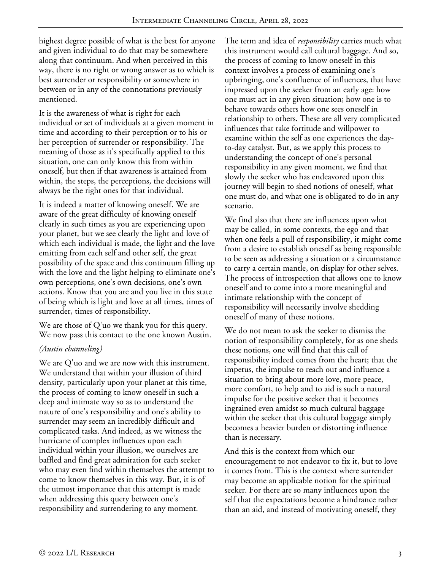highest degree possible of what is the best for anyone and given individual to do that may be somewhere along that continuum. And when perceived in this way, there is no right or wrong answer as to which is best surrender or responsibility or somewhere in between or in any of the connotations previously mentioned.

It is the awareness of what is right for each individual or set of individuals at a given moment in time and according to their perception or to his or her perception of surrender or responsibility. The meaning of those as it's specifically applied to this situation, one can only know this from within oneself, but then if that awareness is attained from within, the steps, the perceptions, the decisions will always be the right ones for that individual.

It is indeed a matter of knowing oneself. We are aware of the great difficulty of knowing oneself clearly in such times as you are experiencing upon your planet, but we see clearly the light and love of which each individual is made, the light and the love emitting from each self and other self, the great possibility of the space and this continuum filling up with the love and the light helping to eliminate one's own perceptions, one's own decisions, one's own actions. Know that you are and you live in this state of being which is light and love at all times, times of surrender, times of responsibility.

We are those of Q'uo we thank you for this query. We now pass this contact to the one known Austin.

## *(Austin channeling)*

We are Q'uo and we are now with this instrument. We understand that within your illusion of third density, particularly upon your planet at this time, the process of coming to know oneself in such a deep and intimate way so as to understand the nature of one's responsibility and one's ability to surrender may seem an incredibly difficult and complicated tasks. And indeed, as we witness the hurricane of complex influences upon each individual within your illusion, we ourselves are baffled and find great admiration for each seeker who may even find within themselves the attempt to come to know themselves in this way. But, it is of the utmost importance that this attempt is made when addressing this query between one's responsibility and surrendering to any moment.

The term and idea of *responsibility* carries much what this instrument would call cultural baggage. And so, the process of coming to know oneself in this context involves a process of examining one's upbringing, one's confluence of influences, that have impressed upon the seeker from an early age: how one must act in any given situation; how one is to behave towards others how one sees oneself in relationship to others. These are all very complicated influences that take fortitude and willpower to examine within the self as one experiences the dayto-day catalyst. But, as we apply this process to understanding the concept of one's personal responsibility in any given moment, we find that slowly the seeker who has endeavored upon this journey will begin to shed notions of oneself, what one must do, and what one is obligated to do in any scenario.

We find also that there are influences upon what may be called, in some contexts, the ego and that when one feels a pull of responsibility, it might come from a desire to establish oneself as being responsible to be seen as addressing a situation or a circumstance to carry a certain mantle, on display for other selves. The process of introspection that allows one to know oneself and to come into a more meaningful and intimate relationship with the concept of responsibility will necessarily involve shedding oneself of many of these notions.

We do not mean to ask the seeker to dismiss the notion of responsibility completely, for as one sheds these notions, one will find that this call of responsibility indeed comes from the heart; that the impetus, the impulse to reach out and influence a situation to bring about more love, more peace, more comfort, to help and to aid is such a natural impulse for the positive seeker that it becomes ingrained even amidst so much cultural baggage within the seeker that this cultural baggage simply becomes a heavier burden or distorting influence than is necessary.

And this is the context from which our encouragement to not endeavor to fix it, but to love it comes from. This is the context where surrender may become an applicable notion for the spiritual seeker. For there are so many influences upon the self that the expectations become a hindrance rather than an aid, and instead of motivating oneself, they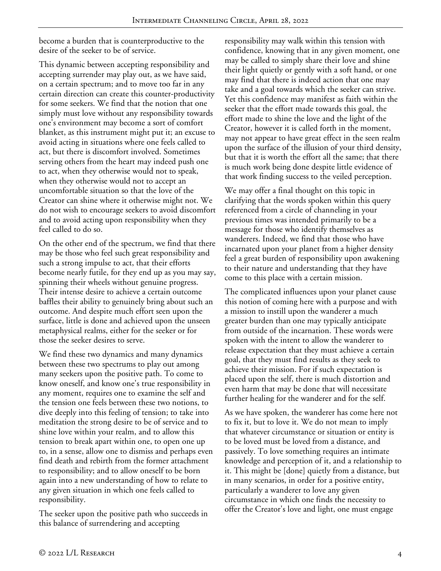become a burden that is counterproductive to the desire of the seeker to be of service.

This dynamic between accepting responsibility and accepting surrender may play out, as we have said, on a certain spectrum; and to move too far in any certain direction can create this counter-productivity for some seekers. We find that the notion that one simply must love without any responsibility towards one's environment may become a sort of comfort blanket, as this instrument might put it; an excuse to avoid acting in situations where one feels called to act, but there is discomfort involved. Sometimes serving others from the heart may indeed push one to act, when they otherwise would not to speak, when they otherwise would not to accept an uncomfortable situation so that the love of the Creator can shine where it otherwise might not. We do not wish to encourage seekers to avoid discomfort and to avoid acting upon responsibility when they feel called to do so.

On the other end of the spectrum, we find that there may be those who feel such great responsibility and such a strong impulse to act, that their efforts become nearly futile, for they end up as you may say, spinning their wheels without genuine progress. Their intense desire to achieve a certain outcome baffles their ability to genuinely bring about such an outcome. And despite much effort seen upon the surface, little is done and achieved upon the unseen metaphysical realms, either for the seeker or for those the seeker desires to serve.

We find these two dynamics and many dynamics between these two spectrums to play out among many seekers upon the positive path. To come to know oneself, and know one's true responsibility in any moment, requires one to examine the self and the tension one feels between these two notions, to dive deeply into this feeling of tension; to take into meditation the strong desire to be of service and to shine love within your realm, and to allow this tension to break apart within one, to open one up to, in a sense, allow one to dismiss and perhaps even find death and rebirth from the former attachment to responsibility; and to allow oneself to be born again into a new understanding of how to relate to any given situation in which one feels called to responsibility.

The seeker upon the positive path who succeeds in this balance of surrendering and accepting

responsibility may walk within this tension with confidence, knowing that in any given moment, one may be called to simply share their love and shine their light quietly or gently with a soft hand, or one may find that there is indeed action that one may take and a goal towards which the seeker can strive. Yet this confidence may manifest as faith within the seeker that the effort made towards this goal, the effort made to shine the love and the light of the Creator, however it is called forth in the moment, may not appear to have great effect in the seen realm upon the surface of the illusion of your third density, but that it is worth the effort all the same; that there is much work being done despite little evidence of that work finding success to the veiled perception.

We may offer a final thought on this topic in clarifying that the words spoken within this query referenced from a circle of channeling in your previous times was intended primarily to be a message for those who identify themselves as wanderers. Indeed, we find that those who have incarnated upon your planet from a higher density feel a great burden of responsibility upon awakening to their nature and understanding that they have come to this place with a certain mission.

The complicated influences upon your planet cause this notion of coming here with a purpose and with a mission to instill upon the wanderer a much greater burden than one may typically anticipate from outside of the incarnation. These words were spoken with the intent to allow the wanderer to release expectation that they must achieve a certain goal, that they must find results as they seek to achieve their mission. For if such expectation is placed upon the self, there is much distortion and even harm that may be done that will necessitate further healing for the wanderer and for the self.

As we have spoken, the wanderer has come here not to fix it, but to love it. We do not mean to imply that whatever circumstance or situation or entity is to be loved must be loved from a distance, and passively. To love something requires an intimate knowledge and perception of it, and a relationship to it. This might be [done] quietly from a distance, but in many scenarios, in order for a positive entity, particularly a wanderer to love any given circumstance in which one finds the necessity to offer the Creator's love and light, one must engage